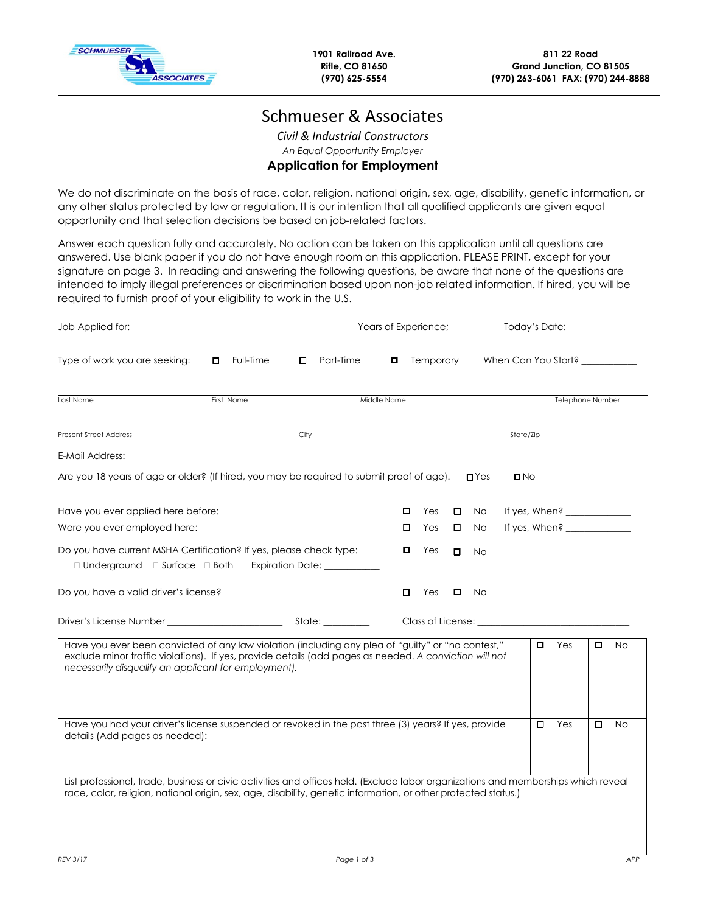

**1901 Railroad Ave. Rifle, CO 81650 (970) 625-5554** 

# Schmueser & Associates

*Civil & Industrial Constructors An Equal Opportunity Employer*  **Application for Employment** 

We do not discriminate on the basis of race, color, religion, national origin, sex, age, disability, genetic information, or any other status protected by law or regulation. It is our intention that all qualified applicants are given equal opportunity and that selection decisions be based on job-related factors.

Answer each question fully and accurately. No action can be taken on this application until all questions are answered. Use blank paper if you do not have enough room on this application. PLEASE PRINT, except for your signature on page 3. In reading and answering the following questions, be aware that none of the questions are intended to imply illegal preferences or discrimination based upon non-job related information. If hired, you will be required to furnish proof of your eligibility to work in the U.S.

|                                                                                                                                                                                                                                                                      |                  |      |                                      | _Years of Experience; _____________ Today's Date: ______________________________ |           |        |                    |                                           |    |                                |   |           |
|----------------------------------------------------------------------------------------------------------------------------------------------------------------------------------------------------------------------------------------------------------------------|------------------|------|--------------------------------------|----------------------------------------------------------------------------------|-----------|--------|--------------------|-------------------------------------------|----|--------------------------------|---|-----------|
| Type of work you are seeking:                                                                                                                                                                                                                                        | $\Box$ Full-Time | 0    | Part-Time                            |                                                                                  | Temporary |        |                    |                                           |    | When Can You Start? __________ |   |           |
| Last Name                                                                                                                                                                                                                                                            | First Name       |      |                                      | Middle Name                                                                      |           |        |                    |                                           |    | Telephone Number               |   |           |
| <b>Present Street Address</b>                                                                                                                                                                                                                                        |                  | City |                                      |                                                                                  |           |        |                    | State/Zip                                 |    |                                |   |           |
|                                                                                                                                                                                                                                                                      |                  |      |                                      |                                                                                  |           |        |                    |                                           |    |                                |   |           |
| Are you 18 years of age or older? (If hired, you may be required to submit proof of age).                                                                                                                                                                            |                  |      |                                      |                                                                                  |           |        | $\blacksquare$ Yes | $\square$ No                              |    |                                |   |           |
| Have you ever applied here before:                                                                                                                                                                                                                                   |                  |      |                                      | 0                                                                                | Yes       |        | $\Box$ No          |                                           |    |                                |   |           |
| Were you ever employed here:                                                                                                                                                                                                                                         |                  |      |                                      | □                                                                                | Yes       | 0      | No.                |                                           |    |                                |   |           |
| Do you have current MSHA Certification? If yes, please check type:<br>$\Box$ Underground $\Box$ Surface $\Box$ Both                                                                                                                                                  |                  |      | Expiration Date: <u>____________</u> | O.                                                                               | Yes       | $\Box$ | No.                |                                           |    |                                |   |           |
| Do you have a valid driver's license?                                                                                                                                                                                                                                |                  |      |                                      | 0                                                                                | Yes       |        | No                 |                                           |    |                                |   |           |
|                                                                                                                                                                                                                                                                      |                  |      |                                      |                                                                                  |           |        |                    | Class of License: <u>Class of License</u> |    |                                |   |           |
| Have you ever been convicted of any law violation (including any plea of "guilty" or "no contest,"<br>exclude minor traffic violations). If yes, provide details (add pages as needed. A conviction will not<br>necessarily disqualify an applicant for employment). |                  |      |                                      |                                                                                  |           |        |                    |                                           |    | Yes                            |   | <b>No</b> |
| Have you had your driver's license suspended or revoked in the past three (3) years? If yes, provide<br>details (Add pages as needed):                                                                                                                               |                  |      |                                      |                                                                                  |           |        |                    |                                           | П. | Yes                            | о | <b>No</b> |
| List professional, trade, business or civic activities and offices held. (Exclude labor organizations and memberships which reveal<br>race, color, religion, national origin, sex, age, disability, genetic information, or other protected status.)                 |                  |      |                                      |                                                                                  |           |        |                    |                                           |    |                                |   |           |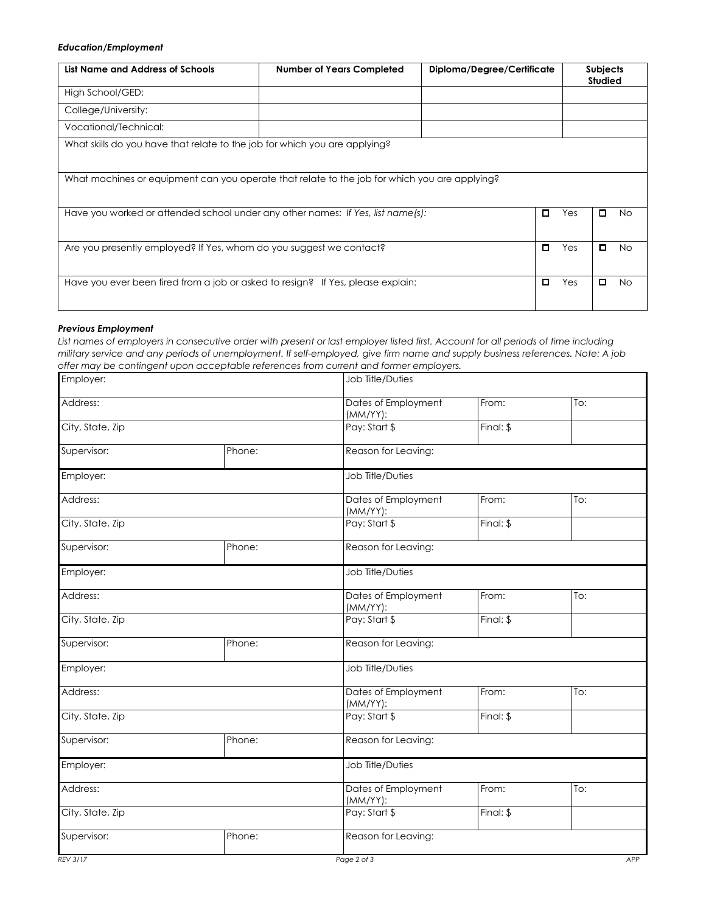## *Education/Employment*

| List Name and Address of Schools                                                              | Diploma/Degree/Certificate<br><b>Number of Years Completed</b> |   |     | <b>Subjects</b><br><b>Studied</b> |     |
|-----------------------------------------------------------------------------------------------|----------------------------------------------------------------|---|-----|-----------------------------------|-----|
| High School/GED:                                                                              |                                                                |   |     |                                   |     |
| College/University:                                                                           |                                                                |   |     |                                   |     |
| Vocational/Technical:                                                                         |                                                                |   |     |                                   |     |
| What skills do you have that relate to the job for which you are applying?                    |                                                                |   |     |                                   |     |
| What machines or equipment can you operate that relate to the job for which you are applying? |                                                                |   |     |                                   |     |
| Have you worked or attended school under any other names: If Yes, list name(s):               |                                                                | □ | Yes | О.                                | No. |
| Are you presently employed? If Yes, whom do you suggest we contact?                           |                                                                | □ | Yes | o                                 | No. |
| Have you ever been fired from a job or asked to resign? If Yes, please explain:               |                                                                | o | Yes |                                   | No. |

#### *Previous Employment*

*List names of employers in consecutive order with present or last employer listed first. Account for all periods of time including military service and any periods of unemployment. If self-employed, give firm name and supply business references. Note: A job offer may be contingent upon acceptable references from current and former employers.* 

| Employer:        |        | Job Title/Duties                |           |     |     |  |  |
|------------------|--------|---------------------------------|-----------|-----|-----|--|--|
| Address:         |        | Dates of Employment<br>(MM/YY): | From:     | To: |     |  |  |
| City, State, Zip |        | Pay: Start \$                   | Final: \$ |     |     |  |  |
| Supervisor:      | Phone: | Reason for Leaving:             |           |     |     |  |  |
| Employer:        |        | Job Title/Duties                |           |     |     |  |  |
| Address:         |        | Dates of Employment<br>(MM/YY): | From:     | To: |     |  |  |
| City, State, Zip |        | Pay: Start \$                   | Final: \$ |     |     |  |  |
| Supervisor:      | Phone: | Reason for Leaving:             |           |     |     |  |  |
| Employer:        |        | Job Title/Duties                |           |     |     |  |  |
| Address:         |        | Dates of Employment<br>(MM/YY): | From:     | To: |     |  |  |
| City, State, Zip |        | Pay: Start \$                   | Final: \$ |     |     |  |  |
| Supervisor:      | Phone: | Reason for Leaving:             |           |     |     |  |  |
| Employer:        |        | <b>Job Title/Duties</b>         |           |     |     |  |  |
| Address:         |        | Dates of Employment<br>(MM/YY): | From:     | To: |     |  |  |
| City, State, Zip |        | Pay: Start \$                   | Final: \$ |     |     |  |  |
| Supervisor:      | Phone: | Reason for Leaving:             |           |     |     |  |  |
| Employer:        |        | <b>Job Title/Duties</b>         |           |     |     |  |  |
| Address:         |        | Dates of Employment<br>(MM/YY): | From:     | To: |     |  |  |
| City, State, Zip |        | Pay: Start \$                   | Final: \$ |     |     |  |  |
| Supervisor:      | Phone: | Reason for Leaving:             |           |     |     |  |  |
| <b>REV 3/17</b>  |        | Page 2 of 3                     |           |     | APP |  |  |